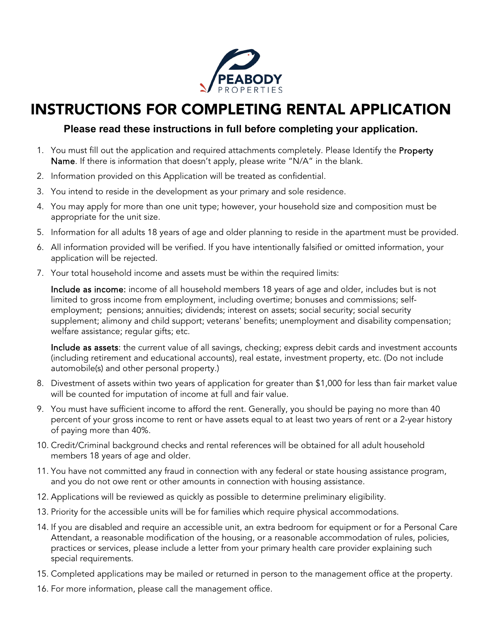

# INSTRUCTIONS FOR COMPLETING RENTAL APPLICATION

# **Please read these instructions in full before completing your application.**

- 1. You must fill out the application and required attachments completely. Please Identify the Property Name. If there is information that doesn't apply, please write "N/A" in the blank.
- 2. Information provided on this Application will be treated as confidential.
- 3. You intend to reside in the development as your primary and sole residence.
- 4. You may apply for more than one unit type; however, your household size and composition must be appropriate for the unit size.
- 5. Information for all adults 18 years of age and older planning to reside in the apartment must be provided.
- 6. All information provided will be verified. If you have intentionally falsified or omitted information, your application will be rejected.
- 7. Your total household income and assets must be within the required limits:

Include as income: income of all household members 18 years of age and older, includes but is not limited to gross income from employment, including overtime; bonuses and commissions; selfemployment; pensions; annuities; dividends; interest on assets; social security; social security supplement; alimony and child support; veterans' benefits; unemployment and disability compensation; welfare assistance; regular gifts; etc.

Include as assets: the current value of all savings, checking; express debit cards and investment accounts (including retirement and educational accounts), real estate, investment property, etc. (Do not include automobile(s) and other personal property.)

- 8. Divestment of assets within two years of application for greater than \$1,000 for less than fair market value will be counted for imputation of income at full and fair value.
- 9. You must have sufficient income to afford the rent. Generally, you should be paying no more than 40 percent of your gross income to rent or have assets equal to at least two years of rent or a 2-year history of paying more than 40%.
- 10. Credit/Criminal background checks and rental references will be obtained for all adult household members 18 years of age and older.
- 11. You have not committed any fraud in connection with any federal or state housing assistance program, and you do not owe rent or other amounts in connection with housing assistance.
- 12. Applications will be reviewed as quickly as possible to determine preliminary eligibility.
- 13. Priority for the accessible units will be for families which require physical accommodations.
- 14. If you are disabled and require an accessible unit, an extra bedroom for equipment or for a Personal Care Attendant, a reasonable modification of the housing, or a reasonable accommodation of rules, policies, practices or services, please include a letter from your primary health care provider explaining such special requirements.
- 15. Completed applications may be mailed or returned in person to the management office at the property.
- 16. For more information, please call the management office.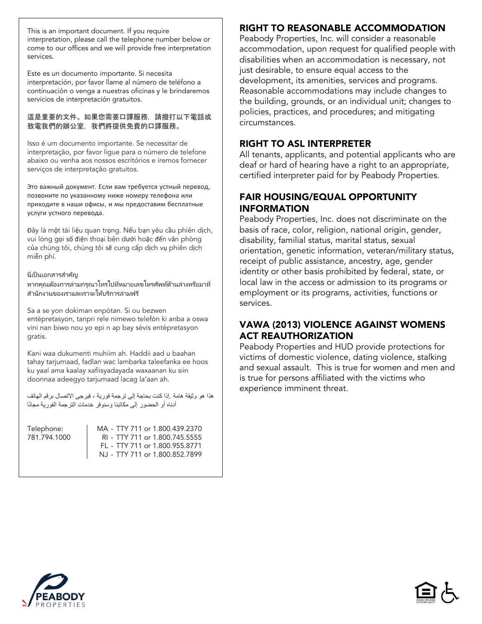This is an important document. If you require interpretation, please call the telephone number below or come to our offices and we will provide free interpretation services.

Este es un documento importante. Si necesita interpretación, por favor llame al número de teléfono a continuación o venga a nuestras oficinas y le brindaremos servicios de interpretación gratuitos.

### 這是重要的文件。如果您需要口譯服務,請撥打以下電話或 致電我們的辦公室,我們將提供免費的口譯服務。

Isso é um documento importante. Se necessitar de interpretação, por favor ligue para o número de telefone abaixo ou venha aos nossos escritórios e iremos fornecer serviços de interpretação gratuitos.

Это важный документ. Если вам требуется устный перевод, позвоните по указанному ниже номеру телефона или приходите в наши офисы, и мы предоставим бесплатные услуги устного перевода.

Đây là một tài liệu quan trọng. Nếu bạn yêu cầu phiên dịch, vui lòng gọi số điện thoại bên dưới hoặc đến văn phòng của chúng tôi, chúng tôi sẽ cung cấp dịch vụ phiên dịch miễn phí.

### นี่เป็นเอกสารสำคัญ

หากคุณต้องการล่ามกรุณาโทรไปที่หมายเลขโทรศัพท์ด้านล่างหรือมาที่ สำนักงานของเราและเราจะให้บริการล่ามฟรี

Sa a se yon dokiman enpòtan. Si ou bezwen entèpretasyon, tanpri rele nimewo telefòn ki anba a oswa vini nan biwo nou yo epi n ap bay sèvis entèpretasyon gratis.

Kani waa dukumenti muhiim ah. Haddii aad u baahan tahay tarjumaad, fadlan wac lambarka taleefanka ee hoos ku yaal ama kaalay xafiisyadayada waxaanan ku siin doonnaa adeegyo tarjumaad lacag la'aan ah.

ھذا ھو وثیقة ھامة .إذا كنت بحاجة إلى ترجمة فوریة ، فیرجى الاتصال برقم الھاتف أدناه أو الحضور إلى مكاتبنا وسنوفر خدمات الترجمة الفورية مجانًا

Telephone: MA - TTY 711 or 1.800.439.2370<br>781.794.1000 RI - TTY 711 or 1.800.745.5555 RI - TTY 711 or 1.800.745.5555 FL - TTY 711 or 1.800.955.8771 NJ - TTY 711 or 1.800.852.7899

# RIGHT TO REASONABLE ACCOMMODATION

Peabody Properties, Inc. will consider a reasonable accommodation, upon request for qualified people with disabilities when an accommodation is necessary, not just desirable, to ensure equal access to the development, its amenities, services and programs. Reasonable accommodations may include changes to the building, grounds, or an individual unit; changes to policies, practices, and procedures; and mitigating circumstances.

## RIGHT TO ASL INTERPRETER

All tenants, applicants, and potential applicants who are deaf or hard of hearing have a right to an appropriate, certified interpreter paid for by Peabody Properties.

## FAIR HOUSING/EQUAL OPPORTUNITY INFORMATION

Peabody Properties, Inc. does not discriminate on the basis of race, color, religion, national origin, gender, disability, familial status, marital status, sexual orientation, genetic information, veteran/military status, receipt of public assistance, ancestry, age, gender identity or other basis prohibited by federal, state, or local law in the access or admission to its programs or employment or its programs, activities, functions or services.

## VAWA (2013) VIOLENCE AGAINST WOMENS ACT REAUTHORIZATION

Peabody Properties and HUD provide protections for victims of domestic violence, dating violence, stalking and sexual assault. This is true for women and men and is true for persons affiliated with the victims who experience imminent threat.



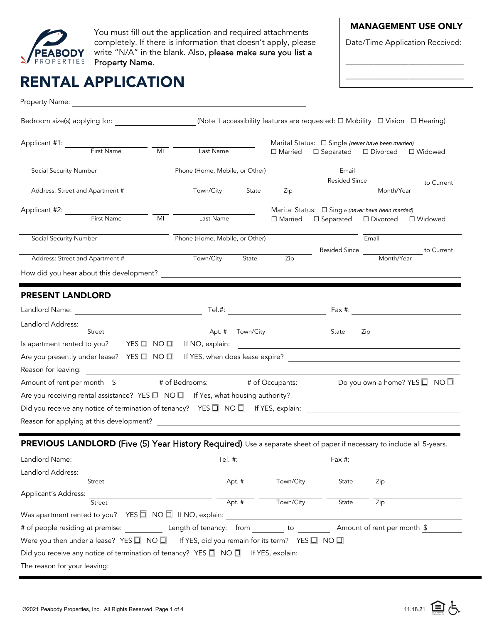

You must fill out the application and required attachments completely. If there is information that doesn't apply, please write "N/A" in the blank. Also, please make sure you list a Property Name.

## MANAGEMENT USE ONLY

Date/Time Application Received:

\_\_\_\_\_\_\_\_\_\_\_\_\_\_\_\_\_\_\_\_\_\_\_\_\_\_\_\_\_\_ \_\_\_\_\_\_\_\_\_\_\_\_\_\_\_\_\_\_\_\_\_\_\_\_\_\_\_\_\_\_

# RENTAL APPLICATION

| Property Name: The Contract of the Contract of the Contract of the Contract of the Contract of the Contract of                                                                                             |                                |                                                                                                       |                        |            |                                               |
|------------------------------------------------------------------------------------------------------------------------------------------------------------------------------------------------------------|--------------------------------|-------------------------------------------------------------------------------------------------------|------------------------|------------|-----------------------------------------------|
| Bedroom size(s) applying for: ____________________(Note if accessibility features are requested: □ Mobility □ Vision □ Hearing)                                                                            |                                |                                                                                                       |                        |            |                                               |
| Applicant #1: First Name MI Last Name                                                                                                                                                                      |                                | Marital Status: □ Single (never have been married)<br>$\Box$ Married $\Box$ Separated $\Box$ Divorced |                        |            | □ Widowed                                     |
| <b>Social Security Number</b>                                                                                                                                                                              | Phone (Home, Mobile, or Other) |                                                                                                       | Email                  |            |                                               |
| Address: Street and Apartment #                                                                                                                                                                            | Town/City<br>State             | Zip                                                                                                   | <b>Resided Since</b>   | Month/Year | to Current                                    |
|                                                                                                                                                                                                            |                                |                                                                                                       |                        |            |                                               |
| Applicant #2: First Name MI Last Name                                                                                                                                                                      |                                | Marital Status: $\Box$ Single (never have been married)<br>$\Box$ Married                             | □ Separated □ Divorced |            | □ Widowed                                     |
| Social Security Number                                                                                                                                                                                     | Phone (Home, Mobile, or Other) |                                                                                                       |                        | Email      |                                               |
| Address: Street and Apartment #                                                                                                                                                                            | Town/City<br>State             | Zip                                                                                                   |                        |            | Resided Since ____________________ to Current |
| How did you hear about this development?                                                                                                                                                                   |                                |                                                                                                       |                        |            |                                               |
|                                                                                                                                                                                                            |                                |                                                                                                       |                        |            |                                               |
| <b>PRESENT LANDLORD</b>                                                                                                                                                                                    |                                |                                                                                                       |                        |            |                                               |
|                                                                                                                                                                                                            |                                |                                                                                                       |                        |            |                                               |
| Landlord Address: Street Street Town/City                                                                                                                                                                  |                                |                                                                                                       | State Zip              |            |                                               |
|                                                                                                                                                                                                            |                                |                                                                                                       |                        |            |                                               |
| Are you presently under lease? YES □ NO □ If YES, when does lease expire?                                                                                                                                  |                                |                                                                                                       |                        |            |                                               |
|                                                                                                                                                                                                            |                                |                                                                                                       |                        |            |                                               |
| Amount of rent per month $\frac{2}{3}$ # of Bedrooms: $\frac{1}{3}$ # of Occupants: Do you own a home? YES $\Box$ NO $\Box$                                                                                |                                |                                                                                                       |                        |            |                                               |
|                                                                                                                                                                                                            |                                |                                                                                                       |                        |            |                                               |
| Did you receive any notice of termination of tenancy? YES □ NO □ If YES, explain: ___________________________________                                                                                      |                                |                                                                                                       |                        |            |                                               |
|                                                                                                                                                                                                            |                                |                                                                                                       |                        |            |                                               |
| <b>PREVIOUS LANDLORD</b> (Five (5) Year History Required) Use a separate sheet of paper if necessary to include all 5-years.                                                                               |                                |                                                                                                       |                        |            |                                               |
|                                                                                                                                                                                                            |                                |                                                                                                       |                        |            |                                               |
| Landlord Name:                                                                                                                                                                                             | Tel. #:                        |                                                                                                       | Fax #:                 |            |                                               |
| Landlord Address:<br>Street                                                                                                                                                                                | Apt. #                         | Town/City                                                                                             | State                  | Zip        |                                               |
| Applicant's Address:                                                                                                                                                                                       |                                |                                                                                                       |                        |            |                                               |
| Street                                                                                                                                                                                                     | Apt. #                         | Town/City                                                                                             | State                  | Zip        |                                               |
| Was apartment rented to you? YES $\Box$ NO $\Box$ If NO, explain:                                                                                                                                          |                                |                                                                                                       |                        |            |                                               |
|                                                                                                                                                                                                            |                                |                                                                                                       |                        |            |                                               |
| Were you then under a lease? YES $\Box$ NO $\Box$ If YES, did you remain for its term? YES $\Box$ NO $\Box$<br>Did you receive any notice of termination of tenancy? YES $\Box$ NO $\Box$ If YES, explain: |                                |                                                                                                       |                        |            |                                               |
|                                                                                                                                                                                                            |                                |                                                                                                       |                        |            |                                               |
| The reason for your leaving:                                                                                                                                                                               |                                |                                                                                                       |                        |            |                                               |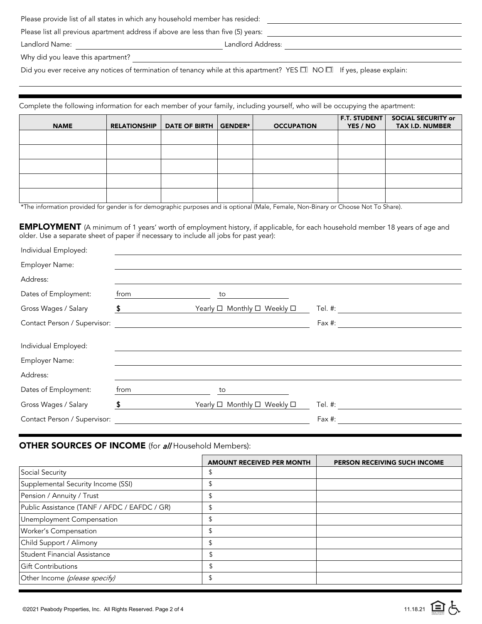|                                                                                   | Please provide list of all states in which any household member has resided: |  |  |  |
|-----------------------------------------------------------------------------------|------------------------------------------------------------------------------|--|--|--|
| Please list all previous apartment address if above are less than five (5) years: |                                                                              |  |  |  |
| Landlord Name:                                                                    | Landlord Address:                                                            |  |  |  |

Why did you leave this apartment?

Did you ever receive any notices of termination of tenancy while at this apartment? YES  $\Box$  NO  $\Box$  If yes, please explain:

Complete the following information for each member of your family, including yourself, who will be occupying the apartment:

| <b>NAME</b> | <b>RELATIONSHIP</b> | DATE OF BIRTH GENDER* | <b>OCCUPATION</b> | <b>F.T. STUDENT</b><br>YES / NO | <b>SOCIAL SECURITY or</b><br><b>TAX I.D. NUMBER</b> |
|-------------|---------------------|-----------------------|-------------------|---------------------------------|-----------------------------------------------------|
|             |                     |                       |                   |                                 |                                                     |
|             |                     |                       |                   |                                 |                                                     |
|             |                     |                       |                   |                                 |                                                     |
|             |                     |                       |                   |                                 |                                                     |
|             |                     |                       |                   |                                 |                                                     |

\*The information provided for gender is for demographic purposes and is optional (Male, Female, Non-Binary or Choose Not To Share).

EMPLOYMENT (A minimum of 1 years' worth of employment history, if applicable, for each household member 18 years of age and older. Use a separate sheet of paper if necessary to include all jobs for past year):

| Individual Employed:         |      |                                                                   |           |
|------------------------------|------|-------------------------------------------------------------------|-----------|
| Employer Name:               |      |                                                                   |           |
| Address:                     |      |                                                                   |           |
| Dates of Employment:         | from | to                                                                |           |
| Gross Wages / Salary         | \$   | Yearly <sup>[1</sup> Monthly <sup>[1]</sup> Weekly <sup>[1]</sup> | Tel. #:   |
| Contact Person / Supervisor: |      |                                                                   | Fax $#$ : |
|                              |      |                                                                   |           |
| Individual Employed:         |      |                                                                   |           |
| Employer Name:               |      |                                                                   |           |
| Address:                     |      |                                                                   |           |
| Dates of Employment:         | from | to                                                                |           |
| Gross Wages / Salary         | S    | Yearly $\square$ Monthly $\square$ Weekly $\square$               | Tel. #:   |
| Contact Person / Supervisor: |      |                                                                   | Fax #:    |

### **OTHER SOURCES OF INCOME** (for all Household Members):

|                                              | <b>AMOUNT RECEIVED PER MONTH</b> | PERSON RECEIVING SUCH INCOME |
|----------------------------------------------|----------------------------------|------------------------------|
| Social Security                              | \$                               |                              |
| Supplemental Security Income (SSI)           | \$                               |                              |
| Pension / Annuity / Trust                    | \$                               |                              |
| Public Assistance (TANF / AFDC / EAFDC / GR) | \$                               |                              |
| Unemployment Compensation                    | \$                               |                              |
| Worker's Compensation                        | \$                               |                              |
| Child Support / Alimony                      | \$                               |                              |
| Student Financial Assistance                 | \$                               |                              |
| <b>Gift Contributions</b>                    | \$                               |                              |
| Other Income (please specify)                |                                  |                              |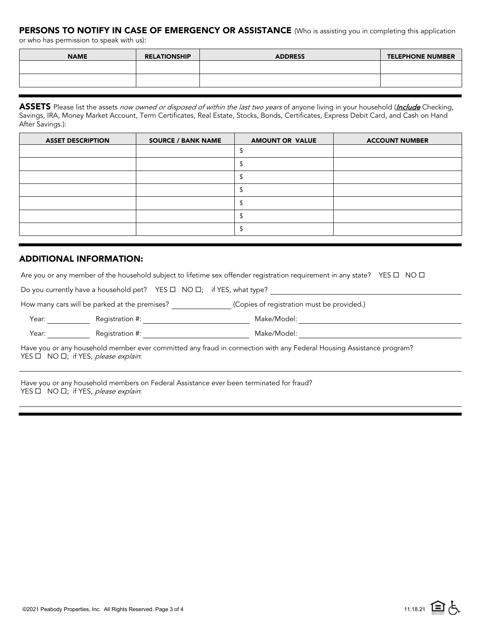## PERSONS TO NOTIFY IN CASE OF EMERGENCY OR ASSISTANCE (Who is assisting you in completing this application

or who has permission to speak with us):

| <b>NAME</b> | <b>RELATIONSHIP</b> | <b>ADDRESS</b> | <b>TELEPHONE NUMBER</b> |
|-------------|---------------------|----------------|-------------------------|
|             |                     |                |                         |
|             |                     |                |                         |

ASSETS Please list the assets now owned or disposed of within the last two years of anyone living in your household (*Include* Checking, Savings, IRA, Money Market Account, Term Certificates, Real Estate, Stocks, Bonds, Certificates, Express Debit Card, and Cash on Hand After Savings.):

| <b>ASSET DESCRIPTION</b> | <b>SOURCE / BANK NAME</b> | <b>AMOUNT OR VALUE</b> | <b>ACCOUNT NUMBER</b> |
|--------------------------|---------------------------|------------------------|-----------------------|
|                          |                           |                        |                       |
|                          |                           |                        |                       |
|                          |                           |                        |                       |
|                          |                           |                        |                       |
|                          |                           |                        |                       |
|                          |                           |                        |                       |
|                          |                           |                        |                       |

### ADDITIONAL INFORMATION:

Are you or any member of the household subject to lifetime sex offender registration requirement in any state? YES  $\Box$  NO  $\Box$ 

Do you currently have a household pet? YES  $\Box$  NO  $\Box$ ; if YES, what type?

| How many cars will be parked at the premises? | (Copies of registration must be provided.) |
|-----------------------------------------------|--------------------------------------------|
|-----------------------------------------------|--------------------------------------------|

Year: Registration #: Make/Model:

Year: Registration #: Make/Model:

Have you or any household member ever committed any fraud in connection with any Federal Housing Assistance program?  $YES \Box NO \Box$ ; if YES, please explain:

Have you or any household members on Federal Assistance ever been terminated for fraud?  $YES \Box NO \Box$ ; if YES, please explain: